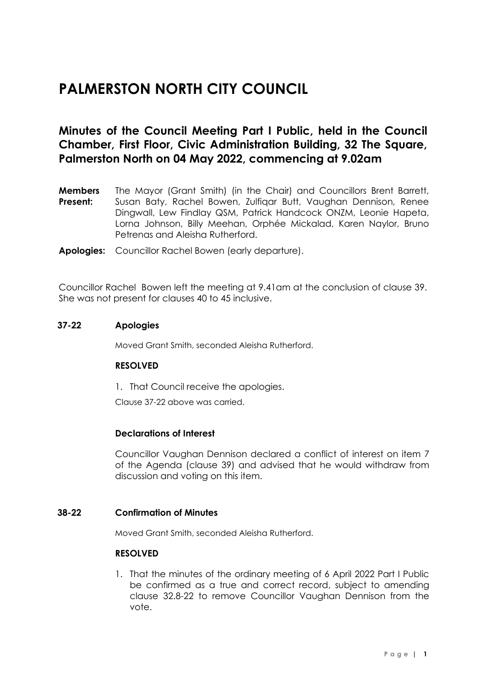# **PALMERSTON NORTH CITY COUNCIL**

# **Minutes of the Council Meeting Part I Public, held in the Council Chamber, First Floor, Civic Administration Building, 32 The Square, Palmerston North on 04 May 2022, commencing at 9.02am**

- **Members Present:** The Mayor (Grant Smith) (in the Chair) and Councillors Brent Barrett, Susan Baty, Rachel Bowen, Zulfiqar Butt, Vaughan Dennison, Renee Dingwall, Lew Findlay QSM, Patrick Handcock ONZM, Leonie Hapeta, Lorna Johnson, Billy Meehan, Orphée Mickalad, Karen Naylor, Bruno Petrenas and Aleisha Rutherford.
- **Apologies:** Councillor Rachel Bowen (early departure).

Councillor Rachel Bowen left the meeting at 9.41am at the conclusion of clause 39. She was not present for clauses 40 to 45 inclusive.

#### **37-22 Apologies**

Moved Grant Smith, seconded Aleisha Rutherford.

#### **RESOLVED**

1. That Council receive the apologies.

Clause 37-22 above was carried.

#### **Declarations of Interest**

Councillor Vaughan Dennison declared a conflict of interest on item 7 of the Agenda (clause 39) and advised that he would withdraw from discussion and voting on this item.

#### **38-22 Confirmation of Minutes**

Moved Grant Smith, seconded Aleisha Rutherford.

#### **RESOLVED**

1. That the minutes of the ordinary meeting of 6 April 2022 Part I Public be confirmed as a true and correct record, subject to amending clause 32.8-22 to remove Councillor Vaughan Dennison from the vote.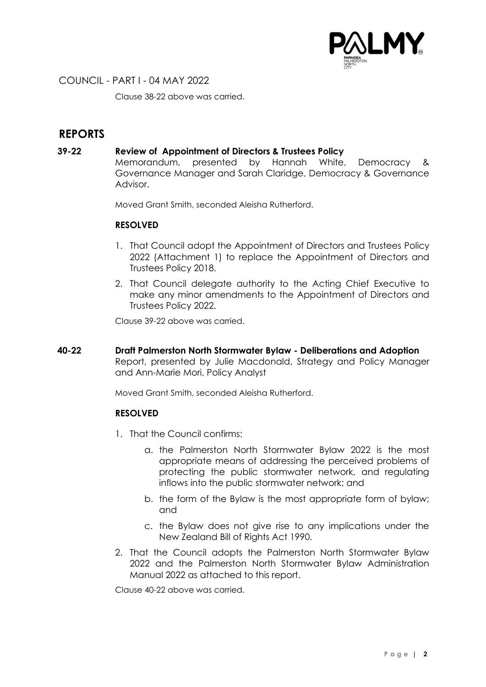

Clause 38-22 above was carried.

# **REPORTS**

#### **39-22 Review of Appointment of Directors & Trustees Policy**

Memorandum, presented by Hannah White, Democracy & Governance Manager and Sarah Claridge, Democracy & Governance Advisor.

Moved Grant Smith, seconded Aleisha Rutherford.

#### **RESOLVED**

- 1. That Council adopt the Appointment of Directors and Trustees Policy 2022 (Attachment 1) to replace the Appointment of Directors and Trustees Policy 2018.
- 2. That Council delegate authority to the Acting Chief Executive to make any minor amendments to the Appointment of Directors and Trustees Policy 2022.

Clause 39-22 above was carried.

**40-22 Draft Palmerston North Stormwater Bylaw - Deliberations and Adoption** Report, presented by Julie Macdonald, Strategy and Policy Manager and Ann-Marie Mori, Policy Analyst

Moved Grant Smith, seconded Aleisha Rutherford.

## **RESOLVED**

- 1. That the Council confirms:
	- a. the Palmerston North Stormwater Bylaw 2022 is the most appropriate means of addressing the perceived problems of protecting the public stormwater network, and regulating inflows into the public stormwater network; and
	- b. the form of the Bylaw is the most appropriate form of bylaw; and
	- c. the Bylaw does not give rise to any implications under the New Zealand Bill of Rights Act 1990.
- 2. That the Council adopts the Palmerston North Stormwater Bylaw 2022 and the Palmerston North Stormwater Bylaw Administration Manual 2022 as attached to this report.

Clause 40-22 above was carried.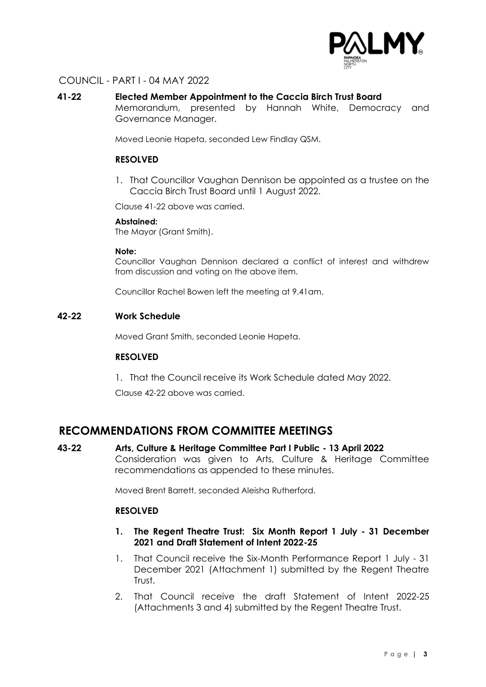

#### **41-22 Elected Member Appointment to the Caccia Birch Trust Board**

Memorandum, presented by Hannah White, Democracy and Governance Manager.

Moved Leonie Hapeta, seconded Lew Findlay QSM.

#### **RESOLVED**

1. That Councillor Vaughan Dennison be appointed as a trustee on the Caccia Birch Trust Board until 1 August 2022.

Clause 41-22 above was carried.

#### **Abstained:**

The Mayor (Grant Smith).

#### **Note:**

Councillor Vaughan Dennison declared a conflict of interest and withdrew from discussion and voting on the above item.

Councillor Rachel Bowen left the meeting at 9.41am.

#### **42-22 Work Schedule**

Moved Grant Smith, seconded Leonie Hapeta.

#### **RESOLVED**

1. That the Council receive its Work Schedule dated May 2022.

Clause 42-22 above was carried.

# **RECOMMENDATIONS FROM COMMITTEE MEETINGS**

**43-22 Arts, Culture & Heritage Committee Part I Public - 13 April 2022** Consideration was given to Arts, Culture & Heritage Committee recommendations as appended to these minutes.

Moved Brent Barrett, seconded Aleisha Rutherford.

#### **RESOLVED**

- **1. The Regent Theatre Trust: Six Month Report 1 July - 31 December 2021 and Draft Statement of Intent 2022-25**
- 1. That Council receive the Six-Month Performance Report 1 July 31 December 2021 (Attachment 1) submitted by the Regent Theatre Trust.
- 2. That Council receive the draft Statement of Intent 2022-25 (Attachments 3 and 4) submitted by the Regent Theatre Trust.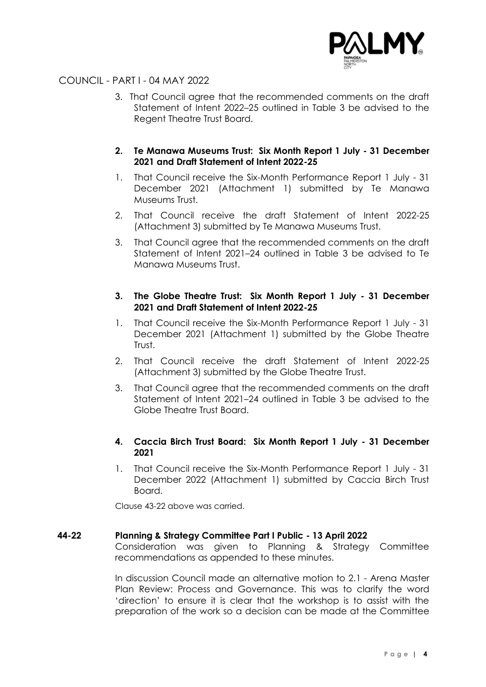

3. That Council agree that the recommended comments on the draft Statement of Intent 2022–25 outlined in Table 3 be advised to the Regent Theatre Trust Board.

## **2. Te Manawa Museums Trust: Six Month Report 1 July - 31 December 2021 and Draft Statement of Intent 2022-25**

- 1. That Council receive the Six-Month Performance Report 1 July 31 December 2021 (Attachment 1) submitted by Te Manawa Museums Trust.
- 2. That Council receive the draft Statement of Intent 2022-25 (Attachment 3) submitted by Te Manawa Museums Trust.
- 3. That Council agree that the recommended comments on the draft Statement of Intent 2021–24 outlined in Table 3 be advised to Te Manawa Museums Trust.

#### **3. The Globe Theatre Trust: Six Month Report 1 July - 31 December 2021 and Draft Statement of Intent 2022-25**

- 1. That Council receive the Six-Month Performance Report 1 July 31 December 2021 (Attachment 1) submitted by the Globe Theatre Trust.
- 2. That Council receive the draft Statement of Intent 2022-25 (Attachment 3) submitted by the Globe Theatre Trust.
- 3. That Council agree that the recommended comments on the draft Statement of Intent 2021–24 outlined in Table 3 be advised to the Globe Theatre Trust Board.

## **4. Caccia Birch Trust Board: Six Month Report 1 July - 31 December 2021**

1. That Council receive the Six-Month Performance Report 1 July - 31 December 2022 (Attachment 1) submitted by Caccia Birch Trust Board.

Clause 43-22 above was carried.

#### **44-22 Planning & Strategy Committee Part I Public - 13 April 2022**

Consideration was given to Planning & Strategy Committee recommendations as appended to these minutes.

In discussion Council made an alternative motion to 2.1 - Arena Master Plan Review: Process and Governance. This was to clarify the word 'direction' to ensure it is clear that the workshop is to assist with the preparation of the work so a decision can be made at the Committee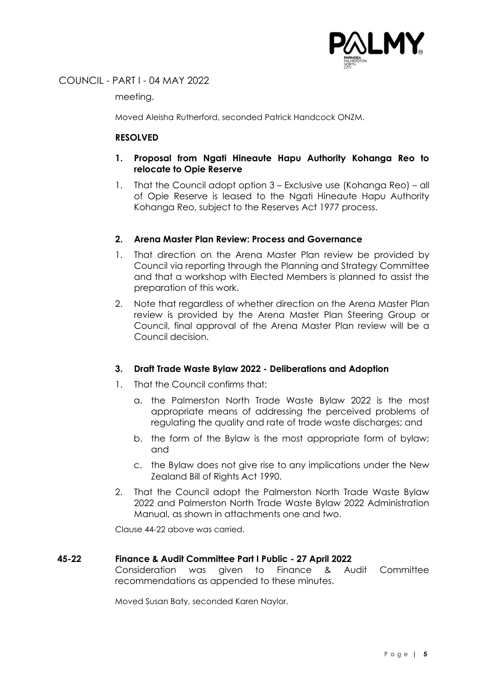

meeting.

Moved Aleisha Rutherford, seconded Patrick Handcock ONZM.

## **RESOLVED**

- **1. Proposal from Ngati Hineaute Hapu Authority Kohanga Reo to relocate to Opie Reserve**
- 1. That the Council adopt option 3 Exclusive use (Kohanga Reo) all of Opie Reserve is leased to the Ngati Hineaute Hapu Authority Kohanga Reo, subject to the Reserves Act 1977 process.

## **2. Arena Master Plan Review: Process and Governance**

- 1. That direction on the Arena Master Plan review be provided by Council via reporting through the Planning and Strategy Committee and that a workshop with Elected Members is planned to assist the preparation of this work.
- 2. Note that regardless of whether direction on the Arena Master Plan review is provided by the Arena Master Plan Steering Group or Council, final approval of the Arena Master Plan review will be a Council decision.

## **3. Draft Trade Waste Bylaw 2022 - Deliberations and Adoption**

- 1. That the Council confirms that:
	- a. the Palmerston North Trade Waste Bylaw 2022 is the most appropriate means of addressing the perceived problems of regulating the quality and rate of trade waste discharges; and
	- b. the form of the Bylaw is the most appropriate form of bylaw; and
	- c. the Bylaw does not give rise to any implications under the New Zealand Bill of Rights Act 1990.
- 2. That the Council adopt the Palmerston North Trade Waste Bylaw 2022 and Palmerston North Trade Waste Bylaw 2022 Administration Manual, as shown in attachments one and two.

Clause 44-22 above was carried.

#### **45-22 Finance & Audit Committee Part I Public - 27 April 2022**

Consideration was given to Finance & Audit Committee recommendations as appended to these minutes.

Moved Susan Baty, seconded Karen Naylor.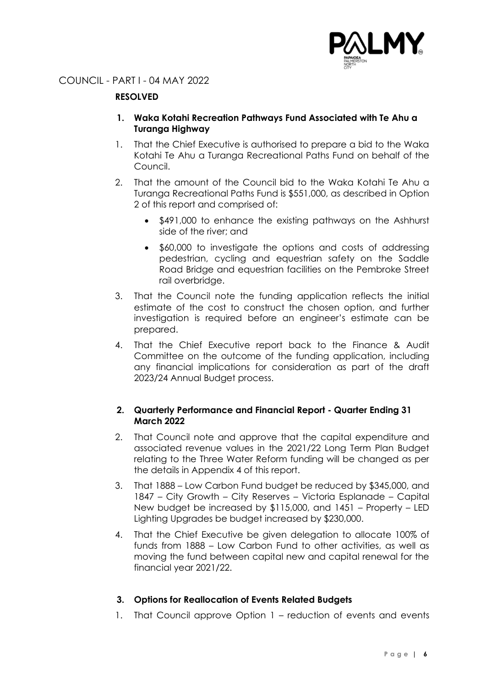

## **RESOLVED**

- **1. Waka Kotahi Recreation Pathways Fund Associated with Te Ahu a Turanga Highway**
- 1. That the Chief Executive is authorised to prepare a bid to the Waka Kotahi Te Ahu a Turanga Recreational Paths Fund on behalf of the Council.
- 2. That the amount of the Council bid to the Waka Kotahi Te Ahu a Turanga Recreational Paths Fund is \$551,000, as described in Option 2 of this report and comprised of:
	- \$491,000 to enhance the existing pathways on the Ashhurst side of the river; and
	- \$60,000 to investigate the options and costs of addressing pedestrian, cycling and equestrian safety on the Saddle Road Bridge and equestrian facilities on the Pembroke Street rail overbridge.
- 3. That the Council note the funding application reflects the initial estimate of the cost to construct the chosen option, and further investigation is required before an engineer's estimate can be prepared.
- 4. That the Chief Executive report back to the Finance & Audit Committee on the outcome of the funding application, including any financial implications for consideration as part of the draft 2023/24 Annual Budget process.

## **2. Quarterly Performance and Financial Report - Quarter Ending 31 March 2022**

- 2. That Council note and approve that the capital expenditure and associated revenue values in the 2021/22 Long Term Plan Budget relating to the Three Water Reform funding will be changed as per the details in Appendix 4 of this report.
- 3. That 1888 Low Carbon Fund budget be reduced by \$345,000, and 1847 – City Growth – City Reserves – Victoria Esplanade – Capital New budget be increased by \$115,000, and 1451 – Property – LED Lighting Upgrades be budget increased by \$230,000.
- 4. That the Chief Executive be given delegation to allocate 100% of funds from 1888 – Low Carbon Fund to other activities, as well as moving the fund between capital new and capital renewal for the financial year 2021/22.

## **3. Options for Reallocation of Events Related Budgets**

1. That Council approve Option 1 – reduction of events and events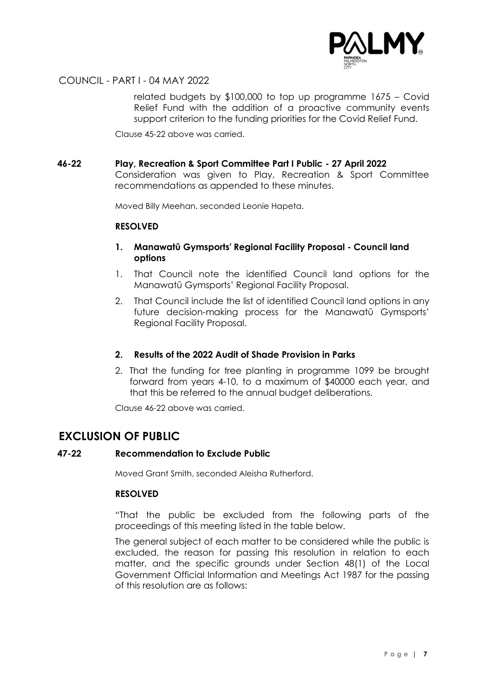

related budgets by \$100,000 to top up programme 1675 – Covid Relief Fund with the addition of a proactive community events support criterion to the funding priorities for the Covid Relief Fund.

Clause 45-22 above was carried.

#### **46-22 Play, Recreation & Sport Committee Part I Public - 27 April 2022**

Consideration was given to Play, Recreation & Sport Committee recommendations as appended to these minutes.

Moved Billy Meehan, seconded Leonie Hapeta.

#### **RESOLVED**

#### **1. Manawatū Gymsports' Regional Facility Proposal - Council land options**

- 1. That Council note the identified Council land options for the Manawatū Gymsports' Regional Facility Proposal.
- 2. That Council include the list of identified Council land options in any future decision-making process for the Manawatū Gymsports' Regional Facility Proposal.

#### **2. Results of the 2022 Audit of Shade Provision in Parks**

2. That the funding for tree planting in programme 1099 be brought forward from years 4-10, to a maximum of \$40000 each year, and that this be referred to the annual budget deliberations.

Clause 46-22 above was carried.

# **EXCLUSION OF PUBLIC**

#### **47-22 Recommendation to Exclude Public**

Moved Grant Smith, seconded Aleisha Rutherford.

#### **RESOLVED**

"That the public be excluded from the following parts of the proceedings of this meeting listed in the table below.

The general subject of each matter to be considered while the public is excluded, the reason for passing this resolution in relation to each matter, and the specific grounds under Section 48(1) of the Local Government Official Information and Meetings Act 1987 for the passing of this resolution are as follows: